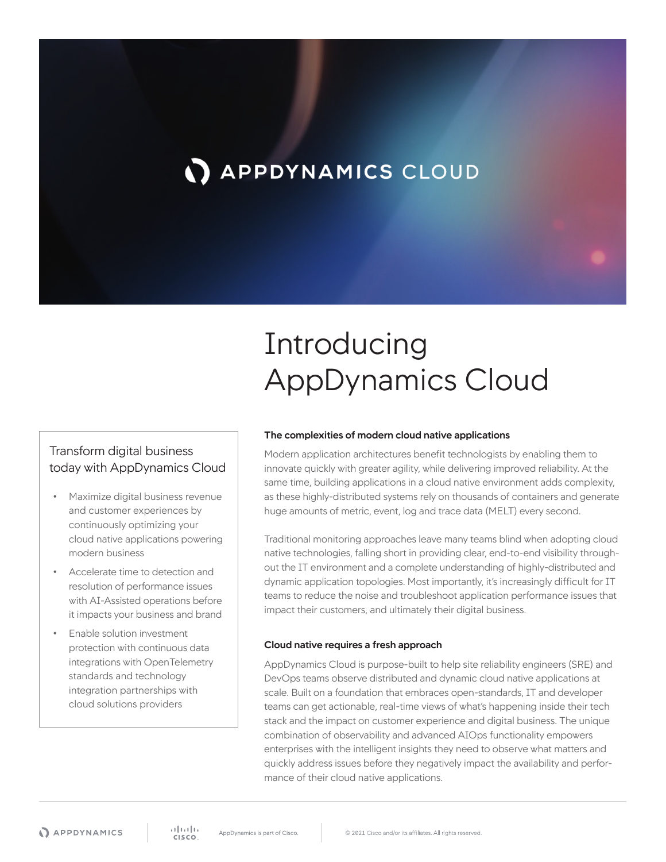# **APPDYNAMICS CLOUD**

# Introducing AppDynamics Cloud

## Transform digital business today with AppDynamics Cloud

- Maximize digital business revenue and customer experiences by continuously optimizing your cloud native applications powering modern business
- Accelerate time to detection and resolution of performance issues with AI-Assisted operations before it impacts your business and brand
- Enable solution investment protection with continuous data integrations with OpenTelemetry standards and technology integration partnerships with cloud solutions providers

#### **The complexities of modern cloud native applications**

Modern application architectures benefit technologists by enabling them to innovate quickly with greater agility, while delivering improved reliability. At the same time, building applications in a cloud native environment adds complexity, as these highly-distributed systems rely on thousands of containers and generate huge amounts of metric, event, log and trace data (MELT) every second.

Traditional monitoring approaches leave many teams blind when adopting cloud native technologies, falling short in providing clear, end-to-end visibility throughout the IT environment and a complete understanding of highly-distributed and dynamic application topologies. Most importantly, it's increasingly difficult for IT teams to reduce the noise and troubleshoot application performance issues that impact their customers, and ultimately their digital business.

#### **Cloud native requires a fresh approach**

AppDynamics Cloud is purpose-built to help site reliability engineers (SRE) and DevOps teams observe distributed and dynamic cloud native applications at scale. Built on a foundation that embraces open-standards, IT and developer teams can get actionable, real-time views of what's happening inside their tech stack and the impact on customer experience and digital business. The unique combination of observability and advanced AIOps functionality empowers enterprises with the intelligent insights they need to observe what matters and quickly address issues before they negatively impact the availability and performance of their cloud native applications.